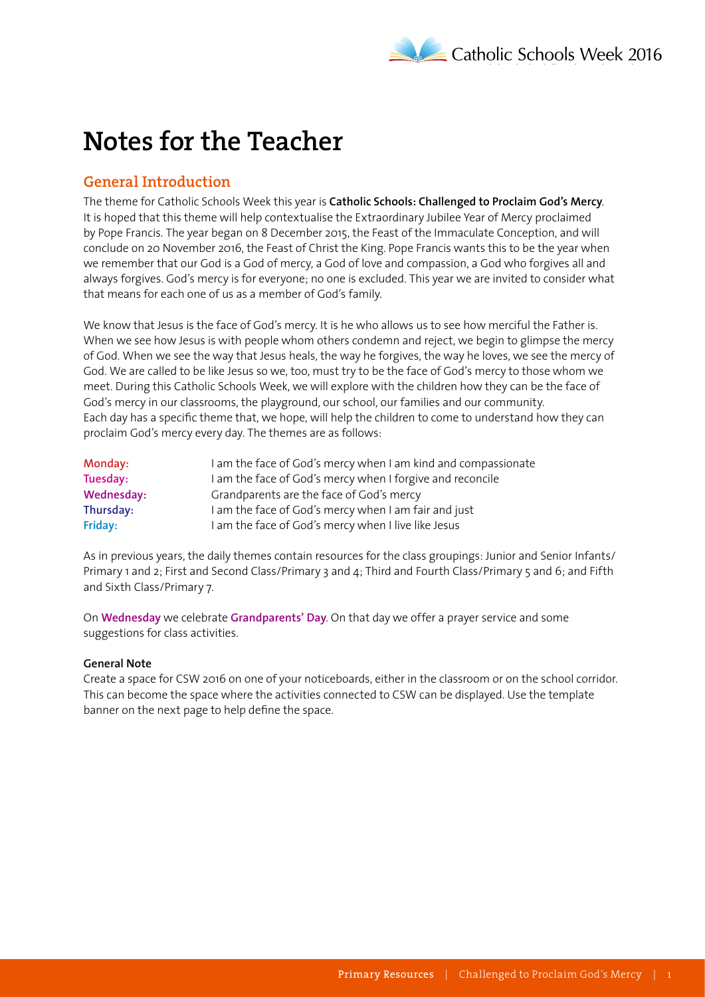# **Notes for the Teacher**

## **General Introduction**

The theme for Catholic Schools Week this year is **Catholic Schools: Challenged to Proclaim God's Mercy**. It is hoped that this theme will help contextualise the Extraordinary Jubilee Year of Mercy proclaimed by Pope Francis. The year began on 8 December 2015, the Feast of the Immaculate Conception, and will conclude on 20 November 2016, the Feast of Christ the King. Pope Francis wants this to be the year when we remember that our God is a God of mercy, a God of love and compassion, a God who forgives all and always forgives. God's mercy is for everyone; no one is excluded. This year we are invited to consider what that means for each one of us as a member of God's family.

We know that Jesus is the face of God's mercy. It is he who allows us to see how merciful the Father is. When we see how Jesus is with people whom others condemn and reject, we begin to glimpse the mercy of God. When we see the way that Jesus heals, the way he forgives, the way he loves, we see the mercy of God. We are called to be like Jesus so we, too, must try to be the face of God's mercy to those whom we meet. During this Catholic Schools Week, we will explore with the children how they can be the face of God's mercy in our classrooms, the playground, our school, our families and our community. Each day has a specific theme that, we hope, will help the children to come to understand how they can proclaim God's mercy every day. The themes are as follows:

| Monday:    | I am the face of God's mercy when I am kind and compassionate |
|------------|---------------------------------------------------------------|
| Tuesday:   | I am the face of God's mercy when I forgive and reconcile     |
| Wednesday: | Grandparents are the face of God's mercy                      |
| Thursday:  | I am the face of God's mercy when I am fair and just          |
| Friday:    | I am the face of God's mercy when I live like Jesus           |

As in previous years, the daily themes contain resources for the class groupings: Junior and Senior Infants/ Primary 1 and 2; First and Second Class/Primary 3 and 4; Third and Fourth Class/Primary 5 and 6; and Fifth and Sixth Class/Primary 7.

On **Wednesday** we celebrate **Grandparents' Day**. On that day we offer a prayer service and some suggestions for class activities.

#### **General Note**

Create a space for CSW 2016 on one of your noticeboards, either in the classroom or on the school corridor. This can become the space where the activities connected to CSW can be displayed. Use the template banner on the next page to help define the space.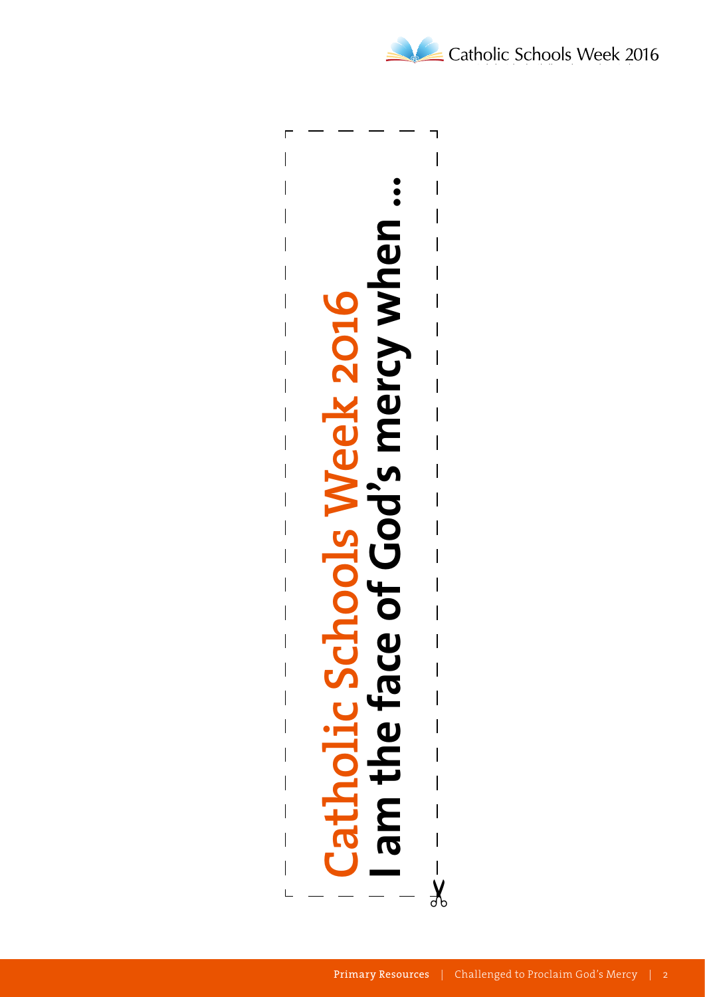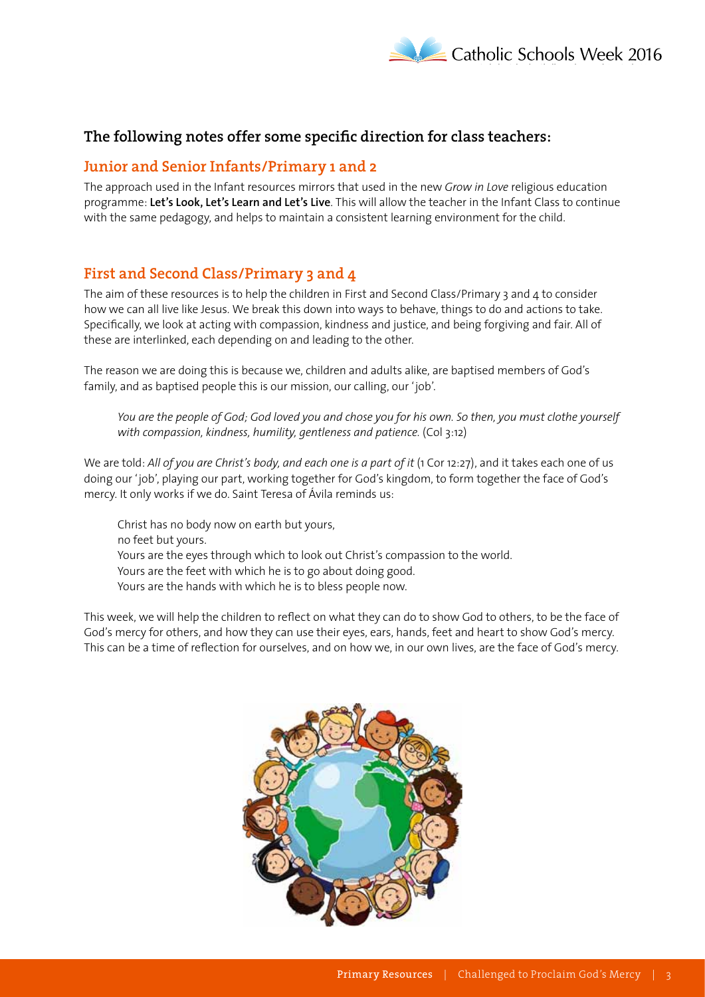

## **The following notes offer some specific direction for class teachers:**

### **Junior and Senior Infants/Primary 1 and 2**

The approach used in the Infant resources mirrors that used in the new *Grow in Love* religious education programme: **Let's Look, Let's Learn and Let's Live**. This will allow the teacher in the Infant Class to continue with the same pedagogy, and helps to maintain a consistent learning environment for the child.

## **First and Second Class/Primary 3 and 4**

The aim of these resources is to help the children in First and Second Class/Primary 3 and 4 to consider how we can all live like Jesus. We break this down into ways to behave, things to do and actions to take. Specifically, we look at acting with compassion, kindness and justice, and being forgiving and fair. All of these are interlinked, each depending on and leading to the other.

The reason we are doing this is because we, children and adults alike, are baptised members of God's family, and as baptised people this is our mission, our calling, our 'job'.

*You are the people of God; God loved you and chose you for his own. So then, you must clothe yourself*  with compassion, kindness, humility, gentleness and patience. (Col 3:12)

We are told: All of you are Christ's body, and each one is a part of it (1 Cor 12:27), and it takes each one of us doing our 'job', playing our part, working together for God's kingdom, to form together the face of God's mercy. It only works if we do. Saint Teresa of Ávila reminds us:

Christ has no body now on earth but yours, no feet but yours. Yours are the eyes through which to look out Christ's compassion to the world. Yours are the feet with which he is to go about doing good. Yours are the hands with which he is to bless people now.

This week, we will help the children to reflect on what they can do to show God to others, to be the face of God's mercy for others, and how they can use their eyes, ears, hands, feet and heart to show God's mercy. This can be a time of reflection for ourselves, and on how we, in our own lives, are the face of God's mercy.

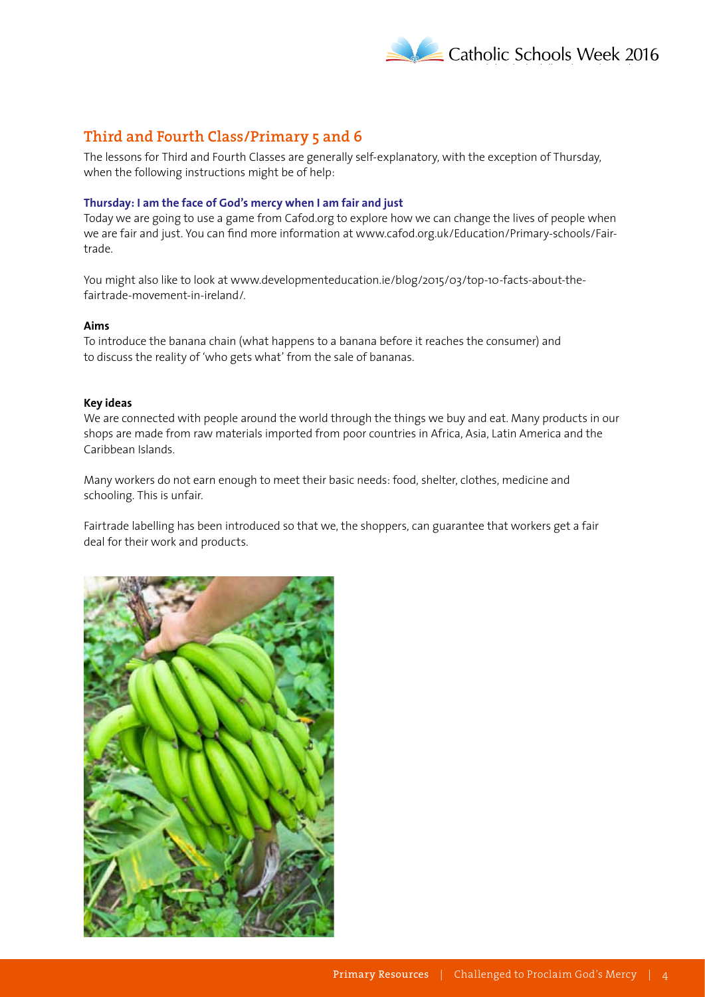

# **Third and Fourth Class/Primary 5 and 6**

The lessons for Third and Fourth Classes are generally self-explanatory, with the exception of Thursday, when the following instructions might be of help:

#### **Thursday: I am the face of God's mercy when I am fair and just**

Today we are going to use a game from Cafod.org to explore how we can change the lives of people when we are fair and just. You can find more information at www.cafod.org.uk/Education/Primary-schools/Fairtrade.

You might also like to look at www.developmenteducation.ie/blog/2015/03/top-10-facts-about-thefairtrade-movement-in-ireland/.

#### **Aims**

To introduce the banana chain (what happens to a banana before it reaches the consumer) and to discuss the reality of 'who gets what' from the sale of bananas.

#### **Key ideas**

We are connected with people around the world through the things we buy and eat. Many products in our shops are made from raw materials imported from poor countries in Africa, Asia, Latin America and the Caribbean Islands.

Many workers do not earn enough to meet their basic needs: food, shelter, clothes, medicine and schooling. This is unfair.

Fairtrade labelling has been introduced so that we, the shoppers, can guarantee that workers get a fair deal for their work and products.